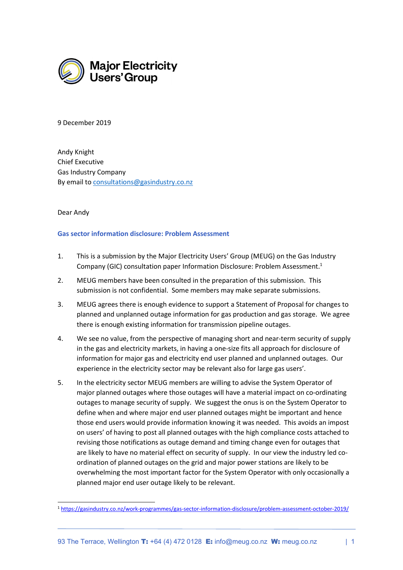

9 December 2019

Andy Knight Chief Executive Gas Industry Company By email to consultations@gasindustry.co.nz

## Dear Andy

## Gas sector information disclosure: Problem Assessment

- 1. This is a submission by the Major Electricity Users' Group (MEUG) on the Gas Industry Company (GIC) consultation paper Information Disclosure: Problem Assessment.<sup>1</sup>
- 2. MEUG members have been consulted in the preparation of this submission. This submission is not confidential. Some members may make separate submissions.
- 3. MEUG agrees there is enough evidence to support a Statement of Proposal for changes to planned and unplanned outage information for gas production and gas storage. We agree there is enough existing information for transmission pipeline outages.
- 4. We see no value, from the perspective of managing short and near-term security of supply in the gas and electricity markets, in having a one-size fits all approach for disclosure of information for major gas and electricity end user planned and unplanned outages. Our experience in the electricity sector may be relevant also for large gas users'.
- 5. In the electricity sector MEUG members are willing to advise the System Operator of major planned outages where those outages will have a material impact on co-ordinating outages to manage security of supply. We suggest the onus is on the System Operator to define when and where major end user planned outages might be important and hence those end users would provide information knowing it was needed. This avoids an impost on users' of having to post all planned outages with the high compliance costs attached to revising those notifications as outage demand and timing change even for outages that are likely to have no material effect on security of supply. In our view the industry led coordination of planned outages on the grid and major power stations are likely to be overwhelming the most important factor for the System Operator with only occasionally a planned major end user outage likely to be relevant.

<sup>1</sup> https://gasindustry.co.nz/work-programmes/gas-sector-information-disclosure/problem-assessment-october-2019/